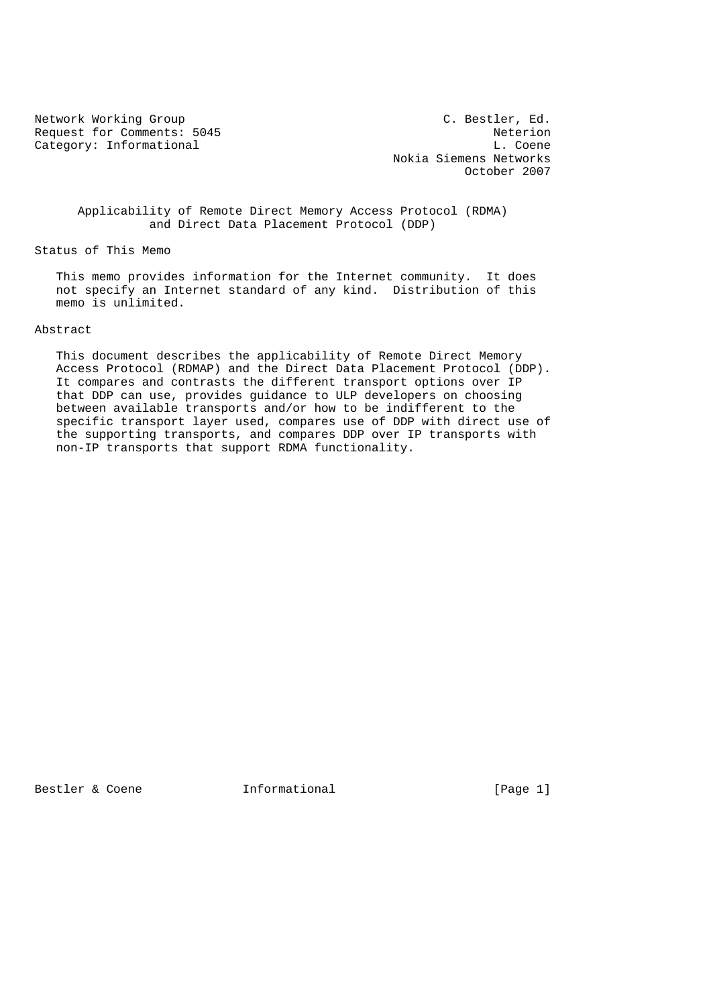Request for Comments: 5045 Neterion Category: Informational and L. Coene

Network Working Group C. Bestler, Ed. Nokia Siemens Networks October 2007

 Applicability of Remote Direct Memory Access Protocol (RDMA) and Direct Data Placement Protocol (DDP)

Status of This Memo

 This memo provides information for the Internet community. It does not specify an Internet standard of any kind. Distribution of this memo is unlimited.

## Abstract

 This document describes the applicability of Remote Direct Memory Access Protocol (RDMAP) and the Direct Data Placement Protocol (DDP). It compares and contrasts the different transport options over IP that DDP can use, provides guidance to ULP developers on choosing between available transports and/or how to be indifferent to the specific transport layer used, compares use of DDP with direct use of the supporting transports, and compares DDP over IP transports with non-IP transports that support RDMA functionality.

Bestler & Coene **Informational** [Page 1]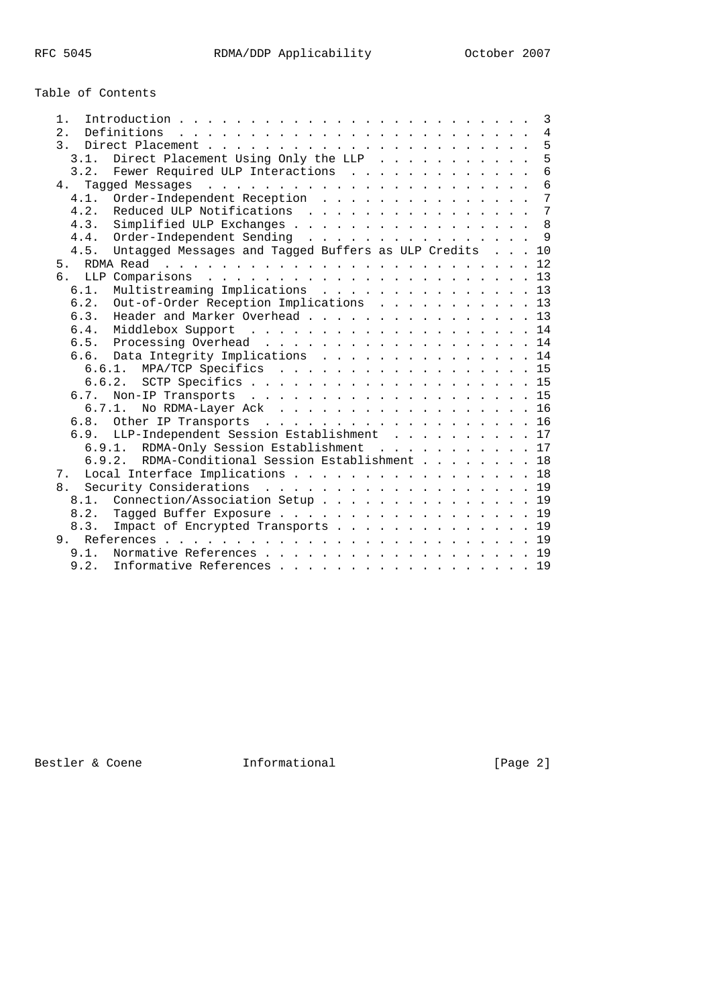Table of Contents

|                                                             |  |  | 3               |
|-------------------------------------------------------------|--|--|-----------------|
| 2.<br>Definitions                                           |  |  | $\overline{4}$  |
| $\overline{3}$ .                                            |  |  | 5               |
| Direct Placement Using Only the LLP $\ldots$<br>3.1.        |  |  | 5               |
| Fewer Required ULP Interactions<br>3.2.                     |  |  | 6               |
| 4.                                                          |  |  | 6               |
| Order-Independent Reception<br>4.1.                         |  |  | 7               |
| Reduced ULP Notifications<br>4.2.                           |  |  | $7\phantom{.0}$ |
| Simplified ULP Exchanges<br>4.3.                            |  |  | 8               |
| Order-Independent Sending<br>4.4.                           |  |  | 9               |
| Untagged Messages and Tagged Buffers as ULP Credits<br>4.5. |  |  | 10              |
| 5 <sub>1</sub>                                              |  |  |                 |
| რ.                                                          |  |  |                 |
| Multistreaming Implications 13<br>6.1.                      |  |  |                 |
| Out-of-Order Reception Implications 13<br>6.2.              |  |  |                 |
| Header and Marker Overhead 13<br>6.3.                       |  |  |                 |
| Middlebox Support 14<br>6.4.                                |  |  |                 |
| 6.5. Processing Overhead 14                                 |  |  |                 |
| 6.6. Data Integrity Implications 14                         |  |  |                 |
| 6.6.1. MPA/TCP Specifics 15                                 |  |  |                 |
|                                                             |  |  |                 |
| Non-IP Transports 15<br>6.7.                                |  |  |                 |
| 6.7.1. No RDMA-Layer Ack 16                                 |  |  |                 |
| 6.8. Other IP Transports 16                                 |  |  |                 |
| 6.9. LLP-Independent Session Establishment 17               |  |  |                 |
| 6.9.1. RDMA-Only Session Establishment 17                   |  |  |                 |
| RDMA-Conditional Session Establishment 18<br>6.9.2.         |  |  |                 |
| Local Interface Implications 18<br>7 <sup>1</sup>           |  |  |                 |
| Security Considerations 19<br>8.                            |  |  |                 |
| 8.1. Connection/Association Setup 19                        |  |  |                 |
| Tagged Buffer Exposure 19<br>8.2.                           |  |  |                 |
| Impact of Encrypted Transports 19<br>8.3.                   |  |  |                 |
| 9                                                           |  |  |                 |
| Normative References 19<br>9.1.                             |  |  |                 |
| 9.2.<br>Informative References 19                           |  |  |                 |

Bestler & Coene **Informational Example 2** (Page 2)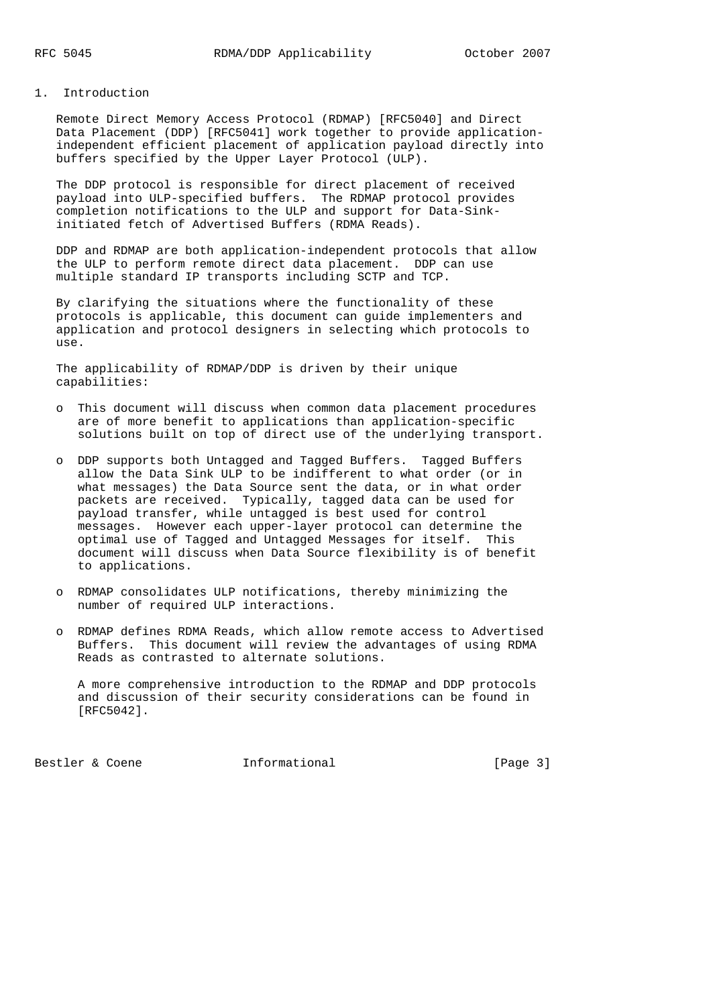#### 1. Introduction

 Remote Direct Memory Access Protocol (RDMAP) [RFC5040] and Direct Data Placement (DDP) [RFC5041] work together to provide application independent efficient placement of application payload directly into buffers specified by the Upper Layer Protocol (ULP).

 The DDP protocol is responsible for direct placement of received payload into ULP-specified buffers. The RDMAP protocol provides completion notifications to the ULP and support for Data-Sink initiated fetch of Advertised Buffers (RDMA Reads).

 DDP and RDMAP are both application-independent protocols that allow the ULP to perform remote direct data placement. DDP can use multiple standard IP transports including SCTP and TCP.

 By clarifying the situations where the functionality of these protocols is applicable, this document can guide implementers and application and protocol designers in selecting which protocols to use.

 The applicability of RDMAP/DDP is driven by their unique capabilities:

- o This document will discuss when common data placement procedures are of more benefit to applications than application-specific solutions built on top of direct use of the underlying transport.
- o DDP supports both Untagged and Tagged Buffers. Tagged Buffers allow the Data Sink ULP to be indifferent to what order (or in what messages) the Data Source sent the data, or in what order packets are received. Typically, tagged data can be used for payload transfer, while untagged is best used for control messages. However each upper-layer protocol can determine the optimal use of Tagged and Untagged Messages for itself. This document will discuss when Data Source flexibility is of benefit to applications.
- o RDMAP consolidates ULP notifications, thereby minimizing the number of required ULP interactions.
- o RDMAP defines RDMA Reads, which allow remote access to Advertised Buffers. This document will review the advantages of using RDMA Reads as contrasted to alternate solutions.

 A more comprehensive introduction to the RDMAP and DDP protocols and discussion of their security considerations can be found in [RFC5042].

Bestler & Coene **Informational** [Page 3]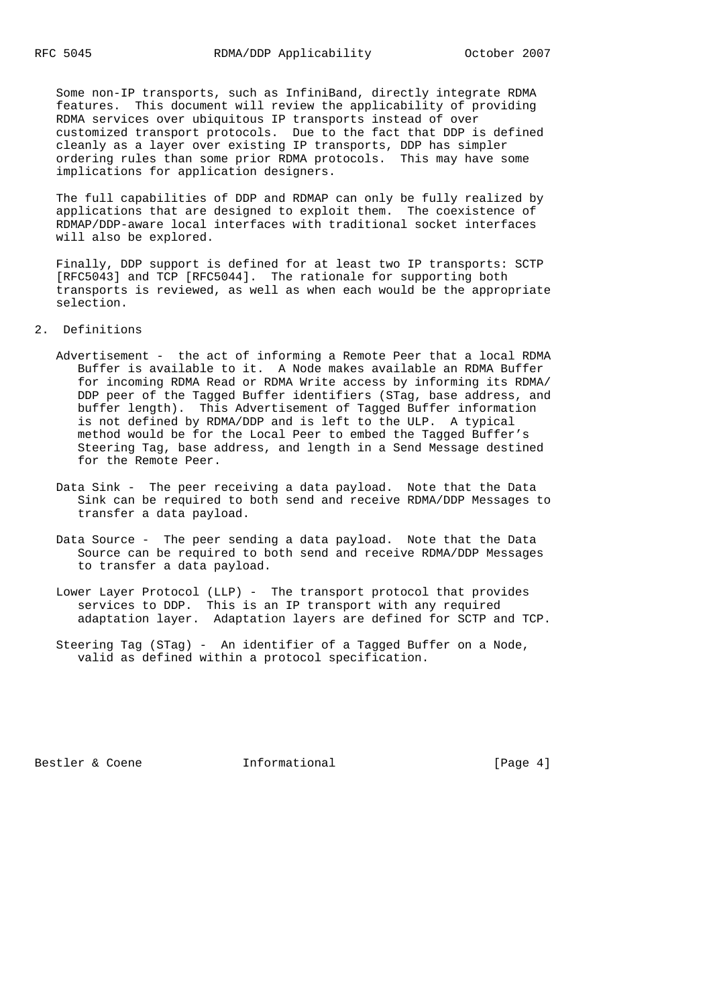Some non-IP transports, such as InfiniBand, directly integrate RDMA features. This document will review the applicability of providing RDMA services over ubiquitous IP transports instead of over customized transport protocols. Due to the fact that DDP is defined cleanly as a layer over existing IP transports, DDP has simpler ordering rules than some prior RDMA protocols. This may have some implications for application designers.

 The full capabilities of DDP and RDMAP can only be fully realized by applications that are designed to exploit them. The coexistence of RDMAP/DDP-aware local interfaces with traditional socket interfaces will also be explored.

 Finally, DDP support is defined for at least two IP transports: SCTP [RFC5043] and TCP [RFC5044]. The rationale for supporting both transports is reviewed, as well as when each would be the appropriate selection.

2. Definitions

- Advertisement the act of informing a Remote Peer that a local RDMA Buffer is available to it. A Node makes available an RDMA Buffer for incoming RDMA Read or RDMA Write access by informing its RDMA/ DDP peer of the Tagged Buffer identifiers (STag, base address, and buffer length). This Advertisement of Tagged Buffer information is not defined by RDMA/DDP and is left to the ULP. A typical method would be for the Local Peer to embed the Tagged Buffer's Steering Tag, base address, and length in a Send Message destined for the Remote Peer.
- Data Sink The peer receiving a data payload. Note that the Data Sink can be required to both send and receive RDMA/DDP Messages to transfer a data payload.
- Data Source The peer sending a data payload. Note that the Data Source can be required to both send and receive RDMA/DDP Messages to transfer a data payload.
- Lower Layer Protocol (LLP) The transport protocol that provides services to DDP. This is an IP transport with any required adaptation layer. Adaptation layers are defined for SCTP and TCP.
- Steering Tag (STag) An identifier of a Tagged Buffer on a Node, valid as defined within a protocol specification.

Bestler & Coene **Informational** [Page 4]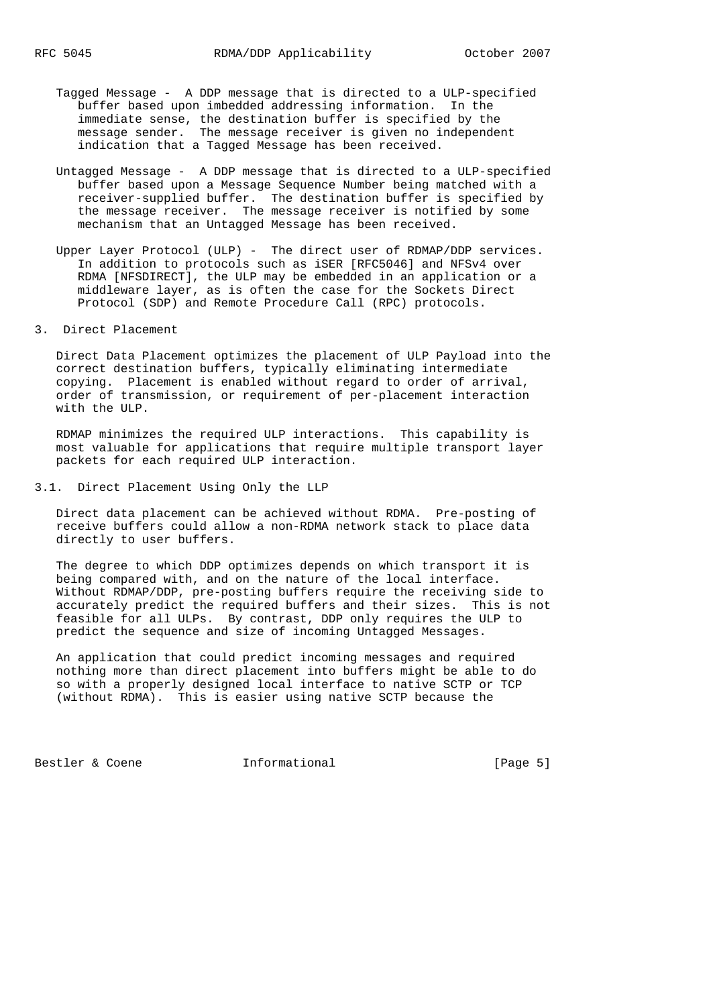- Tagged Message A DDP message that is directed to a ULP-specified buffer based upon imbedded addressing information. In the immediate sense, the destination buffer is specified by the message sender. The message receiver is given no independent indication that a Tagged Message has been received.
- Untagged Message A DDP message that is directed to a ULP-specified buffer based upon a Message Sequence Number being matched with a receiver-supplied buffer. The destination buffer is specified by the message receiver. The message receiver is notified by some mechanism that an Untagged Message has been received.
- Upper Layer Protocol (ULP) The direct user of RDMAP/DDP services. In addition to protocols such as iSER [RFC5046] and NFSv4 over RDMA [NFSDIRECT], the ULP may be embedded in an application or a middleware layer, as is often the case for the Sockets Direct Protocol (SDP) and Remote Procedure Call (RPC) protocols.

3. Direct Placement

 Direct Data Placement optimizes the placement of ULP Payload into the correct destination buffers, typically eliminating intermediate copying. Placement is enabled without regard to order of arrival, order of transmission, or requirement of per-placement interaction with the ULP.

 RDMAP minimizes the required ULP interactions. This capability is most valuable for applications that require multiple transport layer packets for each required ULP interaction.

3.1. Direct Placement Using Only the LLP

 Direct data placement can be achieved without RDMA. Pre-posting of receive buffers could allow a non-RDMA network stack to place data directly to user buffers.

 The degree to which DDP optimizes depends on which transport it is being compared with, and on the nature of the local interface. Without RDMAP/DDP, pre-posting buffers require the receiving side to accurately predict the required buffers and their sizes. This is not feasible for all ULPs. By contrast, DDP only requires the ULP to predict the sequence and size of incoming Untagged Messages.

 An application that could predict incoming messages and required nothing more than direct placement into buffers might be able to do so with a properly designed local interface to native SCTP or TCP (without RDMA). This is easier using native SCTP because the

Bestler & Coene **Informational** [Page 5]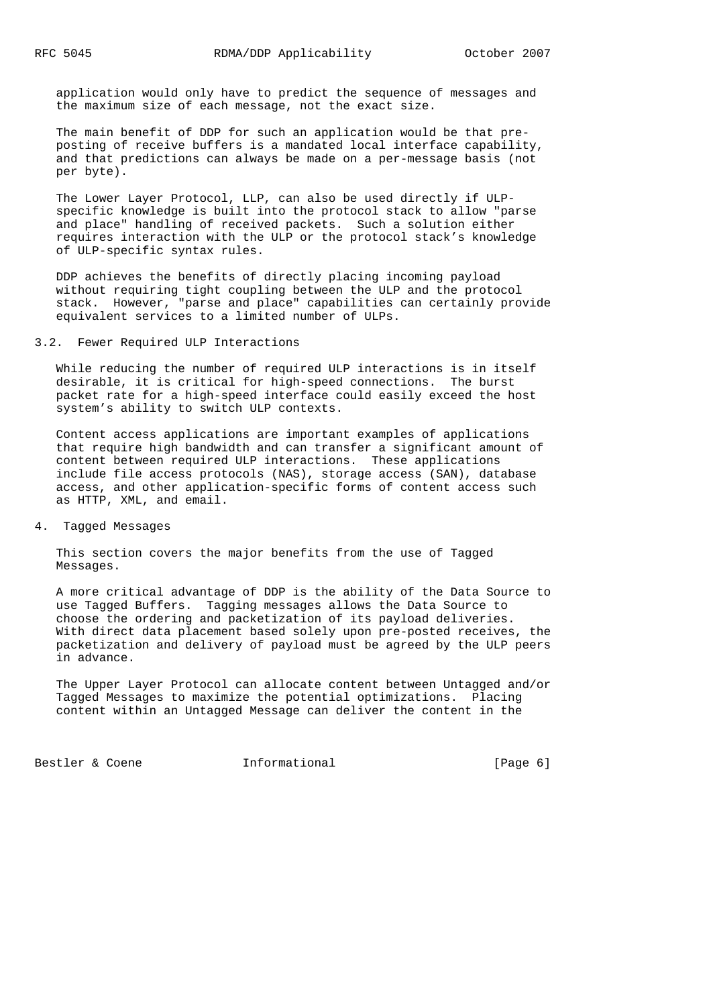application would only have to predict the sequence of messages and the maximum size of each message, not the exact size.

 The main benefit of DDP for such an application would be that pre posting of receive buffers is a mandated local interface capability, and that predictions can always be made on a per-message basis (not per byte).

 The Lower Layer Protocol, LLP, can also be used directly if ULP specific knowledge is built into the protocol stack to allow "parse and place" handling of received packets. Such a solution either requires interaction with the ULP or the protocol stack's knowledge of ULP-specific syntax rules.

 DDP achieves the benefits of directly placing incoming payload without requiring tight coupling between the ULP and the protocol stack. However, "parse and place" capabilities can certainly provide equivalent services to a limited number of ULPs.

## 3.2. Fewer Required ULP Interactions

 While reducing the number of required ULP interactions is in itself desirable, it is critical for high-speed connections. The burst packet rate for a high-speed interface could easily exceed the host system's ability to switch ULP contexts.

 Content access applications are important examples of applications that require high bandwidth and can transfer a significant amount of content between required ULP interactions. These applications include file access protocols (NAS), storage access (SAN), database access, and other application-specific forms of content access such as HTTP, XML, and email.

#### 4. Tagged Messages

 This section covers the major benefits from the use of Tagged Messages.

 A more critical advantage of DDP is the ability of the Data Source to use Tagged Buffers. Tagging messages allows the Data Source to choose the ordering and packetization of its payload deliveries. With direct data placement based solely upon pre-posted receives, the packetization and delivery of payload must be agreed by the ULP peers in advance.

 The Upper Layer Protocol can allocate content between Untagged and/or Tagged Messages to maximize the potential optimizations. Placing content within an Untagged Message can deliver the content in the

Bestler & Coene **Informational** [Page 6]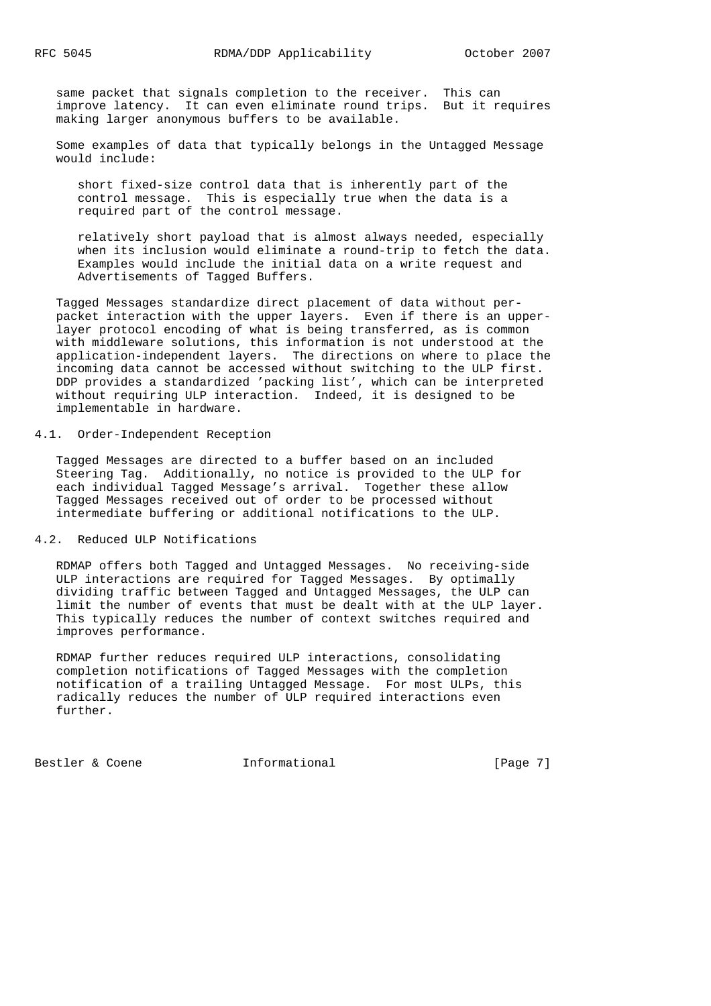same packet that signals completion to the receiver. This can improve latency. It can even eliminate round trips. But it requires making larger anonymous buffers to be available.

 Some examples of data that typically belongs in the Untagged Message would include:

 short fixed-size control data that is inherently part of the control message. This is especially true when the data is a required part of the control message.

 relatively short payload that is almost always needed, especially when its inclusion would eliminate a round-trip to fetch the data. Examples would include the initial data on a write request and Advertisements of Tagged Buffers.

 Tagged Messages standardize direct placement of data without per packet interaction with the upper layers. Even if there is an upper layer protocol encoding of what is being transferred, as is common with middleware solutions, this information is not understood at the application-independent layers. The directions on where to place the incoming data cannot be accessed without switching to the ULP first. DDP provides a standardized 'packing list', which can be interpreted without requiring ULP interaction. Indeed, it is designed to be implementable in hardware.

## 4.1. Order-Independent Reception

 Tagged Messages are directed to a buffer based on an included Steering Tag. Additionally, no notice is provided to the ULP for each individual Tagged Message's arrival. Together these allow Tagged Messages received out of order to be processed without intermediate buffering or additional notifications to the ULP.

### 4.2. Reduced ULP Notifications

 RDMAP offers both Tagged and Untagged Messages. No receiving-side ULP interactions are required for Tagged Messages. By optimally dividing traffic between Tagged and Untagged Messages, the ULP can limit the number of events that must be dealt with at the ULP layer. This typically reduces the number of context switches required and improves performance.

 RDMAP further reduces required ULP interactions, consolidating completion notifications of Tagged Messages with the completion notification of a trailing Untagged Message. For most ULPs, this radically reduces the number of ULP required interactions even further.

Bestler & Coene **Informational** [Page 7]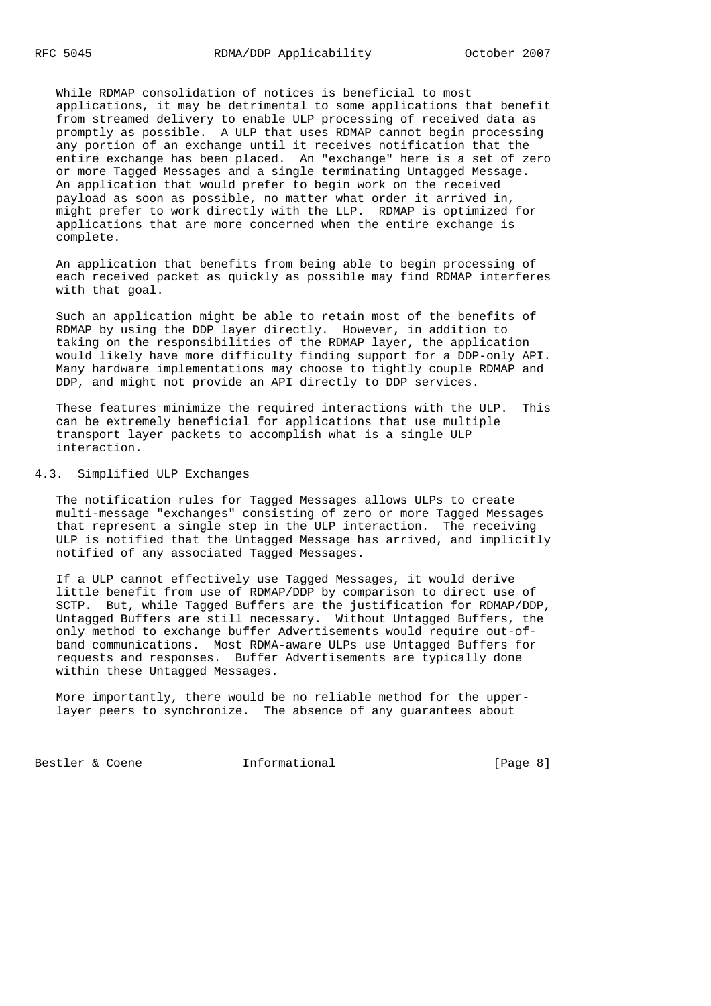While RDMAP consolidation of notices is beneficial to most applications, it may be detrimental to some applications that benefit from streamed delivery to enable ULP processing of received data as promptly as possible. A ULP that uses RDMAP cannot begin processing any portion of an exchange until it receives notification that the entire exchange has been placed. An "exchange" here is a set of zero or more Tagged Messages and a single terminating Untagged Message. An application that would prefer to begin work on the received payload as soon as possible, no matter what order it arrived in, might prefer to work directly with the LLP. RDMAP is optimized for applications that are more concerned when the entire exchange is complete.

 An application that benefits from being able to begin processing of each received packet as quickly as possible may find RDMAP interferes with that goal.

 Such an application might be able to retain most of the benefits of RDMAP by using the DDP layer directly. However, in addition to taking on the responsibilities of the RDMAP layer, the application would likely have more difficulty finding support for a DDP-only API. Many hardware implementations may choose to tightly couple RDMAP and DDP, and might not provide an API directly to DDP services.

 These features minimize the required interactions with the ULP. This can be extremely beneficial for applications that use multiple transport layer packets to accomplish what is a single ULP interaction.

### 4.3. Simplified ULP Exchanges

 The notification rules for Tagged Messages allows ULPs to create multi-message "exchanges" consisting of zero or more Tagged Messages that represent a single step in the ULP interaction. The receiving ULP is notified that the Untagged Message has arrived, and implicitly notified of any associated Tagged Messages.

 If a ULP cannot effectively use Tagged Messages, it would derive little benefit from use of RDMAP/DDP by comparison to direct use of SCTP. But, while Tagged Buffers are the justification for RDMAP/DDP, Untagged Buffers are still necessary. Without Untagged Buffers, the only method to exchange buffer Advertisements would require out-of band communications. Most RDMA-aware ULPs use Untagged Buffers for requests and responses. Buffer Advertisements are typically done within these Untagged Messages.

 More importantly, there would be no reliable method for the upper layer peers to synchronize. The absence of any guarantees about

Bestler & Coene **Informational** [Page 8]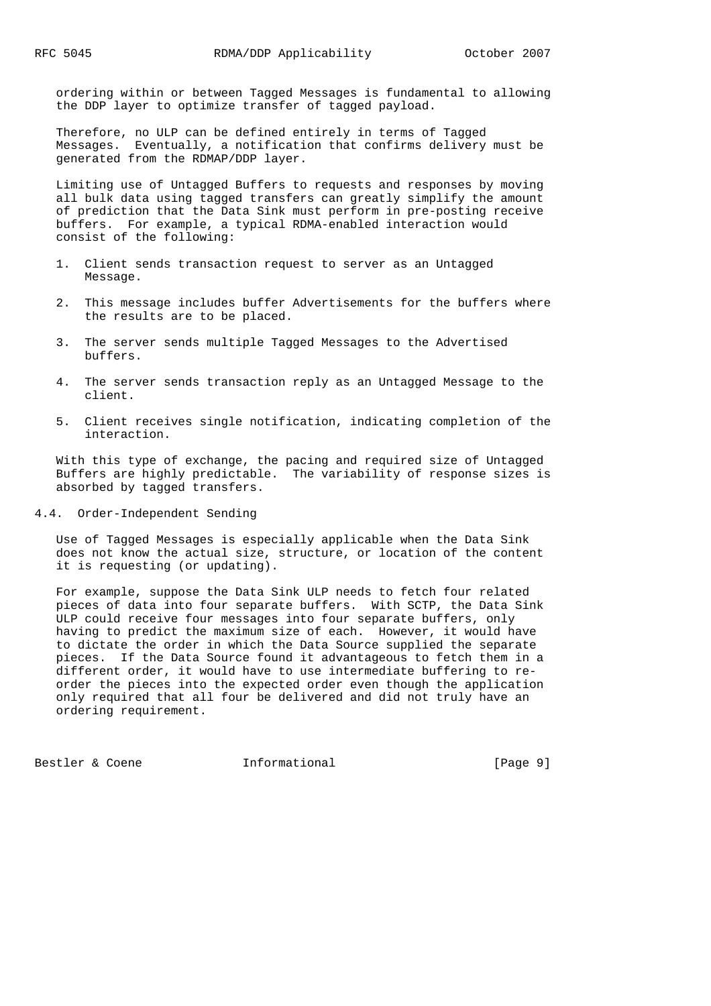ordering within or between Tagged Messages is fundamental to allowing the DDP layer to optimize transfer of tagged payload.

 Therefore, no ULP can be defined entirely in terms of Tagged Messages. Eventually, a notification that confirms delivery must be generated from the RDMAP/DDP layer.

 Limiting use of Untagged Buffers to requests and responses by moving all bulk data using tagged transfers can greatly simplify the amount of prediction that the Data Sink must perform in pre-posting receive buffers. For example, a typical RDMA-enabled interaction would consist of the following:

- 1. Client sends transaction request to server as an Untagged Message.
- 2. This message includes buffer Advertisements for the buffers where the results are to be placed.
- 3. The server sends multiple Tagged Messages to the Advertised buffers.
- 4. The server sends transaction reply as an Untagged Message to the client.
- 5. Client receives single notification, indicating completion of the interaction.

 With this type of exchange, the pacing and required size of Untagged Buffers are highly predictable. The variability of response sizes is absorbed by tagged transfers.

4.4. Order-Independent Sending

 Use of Tagged Messages is especially applicable when the Data Sink does not know the actual size, structure, or location of the content it is requesting (or updating).

 For example, suppose the Data Sink ULP needs to fetch four related pieces of data into four separate buffers. With SCTP, the Data Sink ULP could receive four messages into four separate buffers, only having to predict the maximum size of each. However, it would have to dictate the order in which the Data Source supplied the separate pieces. If the Data Source found it advantageous to fetch them in a different order, it would have to use intermediate buffering to re order the pieces into the expected order even though the application only required that all four be delivered and did not truly have an ordering requirement.

Bestler & Coene **Informational** [Page 9]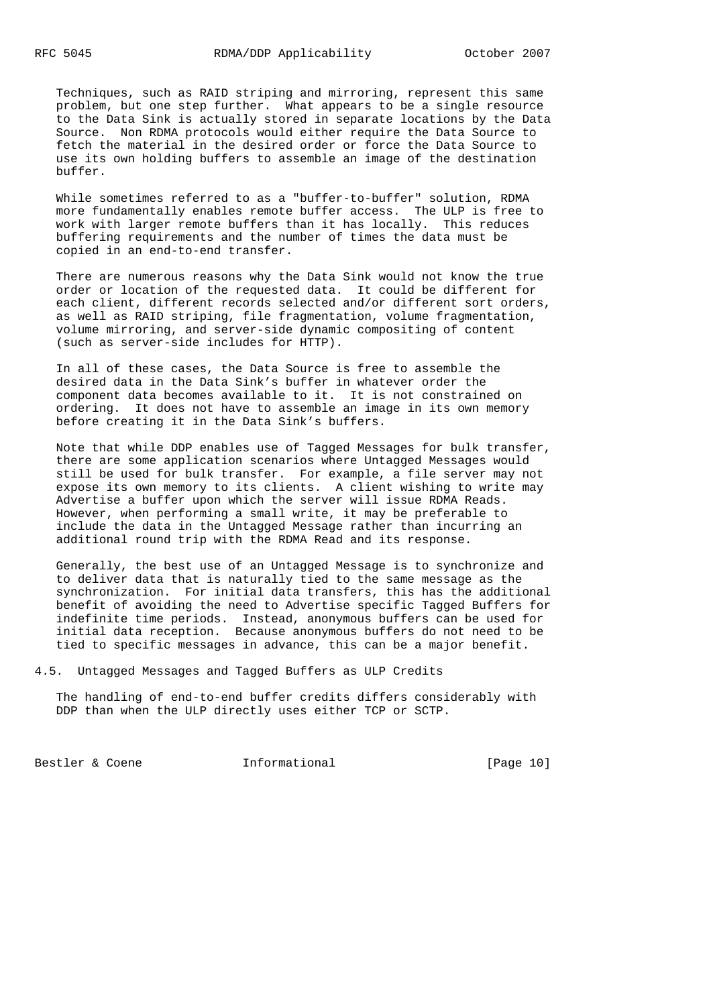Techniques, such as RAID striping and mirroring, represent this same problem, but one step further. What appears to be a single resource to the Data Sink is actually stored in separate locations by the Data Source. Non RDMA protocols would either require the Data Source to fetch the material in the desired order or force the Data Source to use its own holding buffers to assemble an image of the destination buffer.

While sometimes referred to as a "buffer-to-buffer" solution, RDMA more fundamentally enables remote buffer access. The ULP is free to work with larger remote buffers than it has locally. This reduces buffering requirements and the number of times the data must be copied in an end-to-end transfer.

 There are numerous reasons why the Data Sink would not know the true order or location of the requested data. It could be different for each client, different records selected and/or different sort orders, as well as RAID striping, file fragmentation, volume fragmentation, volume mirroring, and server-side dynamic compositing of content (such as server-side includes for HTTP).

 In all of these cases, the Data Source is free to assemble the desired data in the Data Sink's buffer in whatever order the component data becomes available to it. It is not constrained on ordering. It does not have to assemble an image in its own memory before creating it in the Data Sink's buffers.

 Note that while DDP enables use of Tagged Messages for bulk transfer, there are some application scenarios where Untagged Messages would still be used for bulk transfer. For example, a file server may not expose its own memory to its clients. A client wishing to write may Advertise a buffer upon which the server will issue RDMA Reads. However, when performing a small write, it may be preferable to include the data in the Untagged Message rather than incurring an additional round trip with the RDMA Read and its response.

 Generally, the best use of an Untagged Message is to synchronize and to deliver data that is naturally tied to the same message as the synchronization. For initial data transfers, this has the additional benefit of avoiding the need to Advertise specific Tagged Buffers for indefinite time periods. Instead, anonymous buffers can be used for initial data reception. Because anonymous buffers do not need to be tied to specific messages in advance, this can be a major benefit.

4.5. Untagged Messages and Tagged Buffers as ULP Credits

 The handling of end-to-end buffer credits differs considerably with DDP than when the ULP directly uses either TCP or SCTP.

Bestler & Coene **Informational** [Page 10]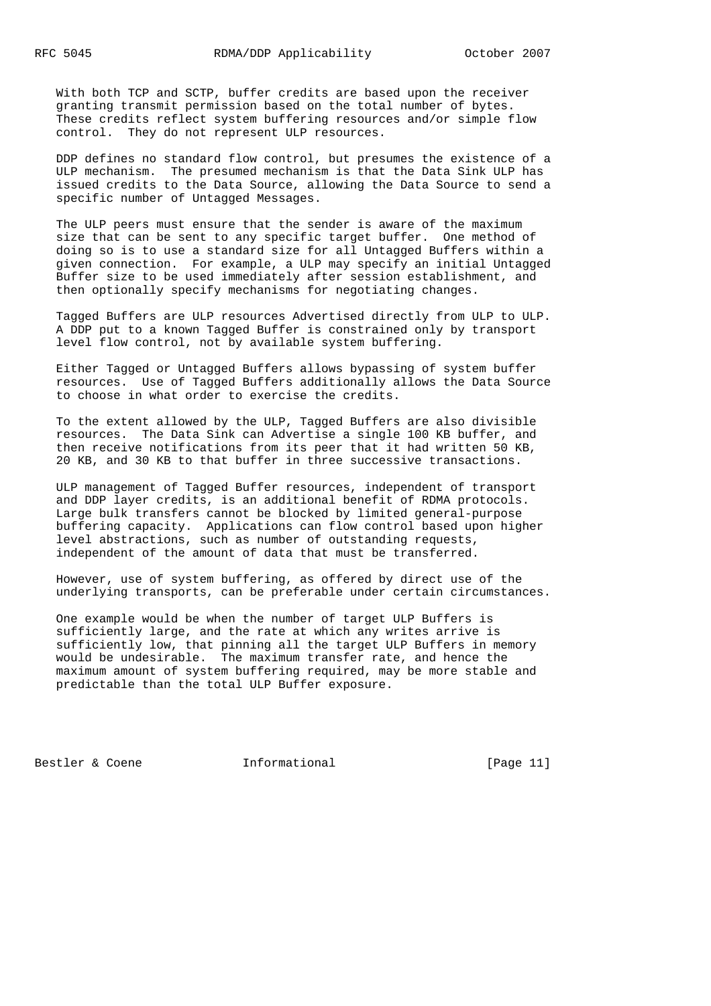With both TCP and SCTP, buffer credits are based upon the receiver granting transmit permission based on the total number of bytes. These credits reflect system buffering resources and/or simple flow control. They do not represent ULP resources.

 DDP defines no standard flow control, but presumes the existence of a ULP mechanism. The presumed mechanism is that the Data Sink ULP has issued credits to the Data Source, allowing the Data Source to send a specific number of Untagged Messages.

 The ULP peers must ensure that the sender is aware of the maximum size that can be sent to any specific target buffer. One method of doing so is to use a standard size for all Untagged Buffers within a given connection. For example, a ULP may specify an initial Untagged Buffer size to be used immediately after session establishment, and then optionally specify mechanisms for negotiating changes.

 Tagged Buffers are ULP resources Advertised directly from ULP to ULP. A DDP put to a known Tagged Buffer is constrained only by transport level flow control, not by available system buffering.

 Either Tagged or Untagged Buffers allows bypassing of system buffer resources. Use of Tagged Buffers additionally allows the Data Source to choose in what order to exercise the credits.

 To the extent allowed by the ULP, Tagged Buffers are also divisible resources. The Data Sink can Advertise a single 100 KB buffer, and then receive notifications from its peer that it had written 50 KB, 20 KB, and 30 KB to that buffer in three successive transactions.

 ULP management of Tagged Buffer resources, independent of transport and DDP layer credits, is an additional benefit of RDMA protocols. Large bulk transfers cannot be blocked by limited general-purpose buffering capacity. Applications can flow control based upon higher level abstractions, such as number of outstanding requests, independent of the amount of data that must be transferred.

 However, use of system buffering, as offered by direct use of the underlying transports, can be preferable under certain circumstances.

 One example would be when the number of target ULP Buffers is sufficiently large, and the rate at which any writes arrive is sufficiently low, that pinning all the target ULP Buffers in memory would be undesirable. The maximum transfer rate, and hence the maximum amount of system buffering required, may be more stable and predictable than the total ULP Buffer exposure.

Bestler & Coene **Informational** [Page 11]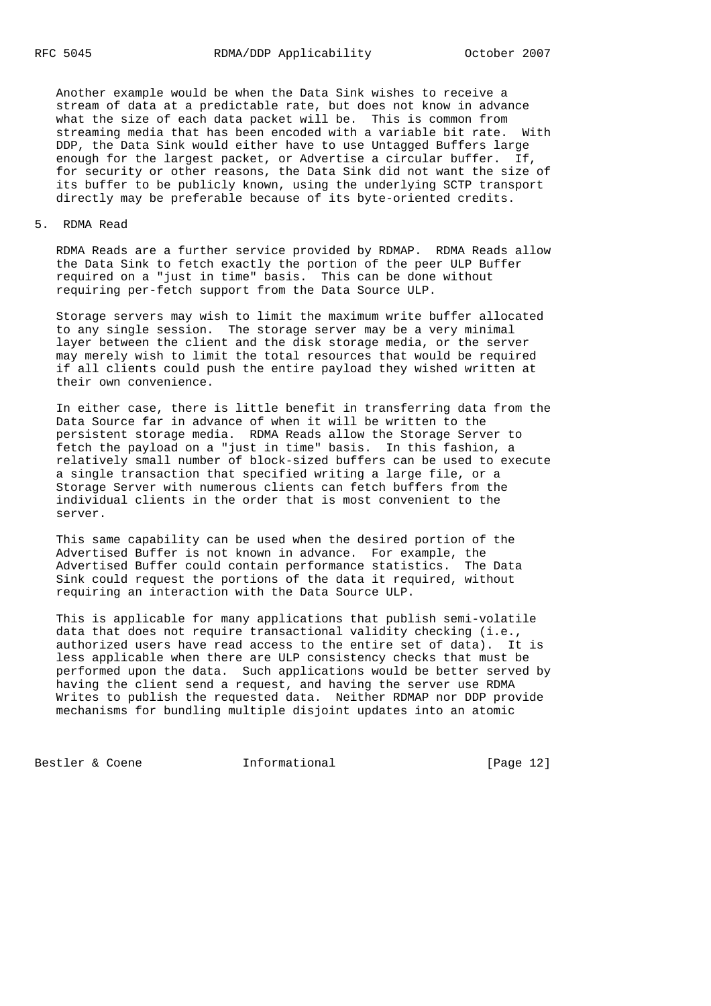Another example would be when the Data Sink wishes to receive a stream of data at a predictable rate, but does not know in advance what the size of each data packet will be. This is common from streaming media that has been encoded with a variable bit rate. With DDP, the Data Sink would either have to use Untagged Buffers large enough for the largest packet, or Advertise a circular buffer. If, for security or other reasons, the Data Sink did not want the size of its buffer to be publicly known, using the underlying SCTP transport directly may be preferable because of its byte-oriented credits.

#### 5. RDMA Read

 RDMA Reads are a further service provided by RDMAP. RDMA Reads allow the Data Sink to fetch exactly the portion of the peer ULP Buffer required on a "just in time" basis. This can be done without requiring per-fetch support from the Data Source ULP.

 Storage servers may wish to limit the maximum write buffer allocated to any single session. The storage server may be a very minimal layer between the client and the disk storage media, or the server may merely wish to limit the total resources that would be required if all clients could push the entire payload they wished written at their own convenience.

 In either case, there is little benefit in transferring data from the Data Source far in advance of when it will be written to the persistent storage media. RDMA Reads allow the Storage Server to fetch the payload on a "just in time" basis. In this fashion, a relatively small number of block-sized buffers can be used to execute a single transaction that specified writing a large file, or a Storage Server with numerous clients can fetch buffers from the individual clients in the order that is most convenient to the server.

 This same capability can be used when the desired portion of the Advertised Buffer is not known in advance. For example, the Advertised Buffer could contain performance statistics. The Data Sink could request the portions of the data it required, without requiring an interaction with the Data Source ULP.

 This is applicable for many applications that publish semi-volatile data that does not require transactional validity checking (i.e., authorized users have read access to the entire set of data). It is less applicable when there are ULP consistency checks that must be performed upon the data. Such applications would be better served by having the client send a request, and having the server use RDMA Writes to publish the requested data. Neither RDMAP nor DDP provide mechanisms for bundling multiple disjoint updates into an atomic

Bestler & Coene **Informational** [Page 12]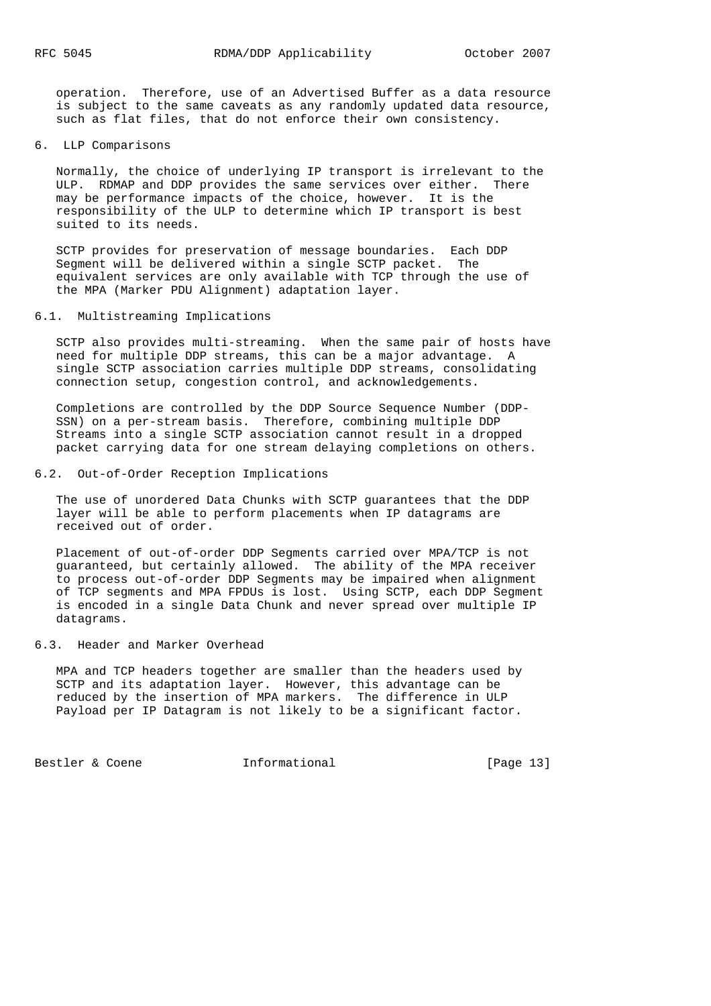operation. Therefore, use of an Advertised Buffer as a data resource is subject to the same caveats as any randomly updated data resource, such as flat files, that do not enforce their own consistency.

6. LLP Comparisons

 Normally, the choice of underlying IP transport is irrelevant to the ULP. RDMAP and DDP provides the same services over either. There may be performance impacts of the choice, however. It is the responsibility of the ULP to determine which IP transport is best suited to its needs.

 SCTP provides for preservation of message boundaries. Each DDP Segment will be delivered within a single SCTP packet. The equivalent services are only available with TCP through the use of the MPA (Marker PDU Alignment) adaptation layer.

## 6.1. Multistreaming Implications

 SCTP also provides multi-streaming. When the same pair of hosts have need for multiple DDP streams, this can be a major advantage. A single SCTP association carries multiple DDP streams, consolidating connection setup, congestion control, and acknowledgements.

 Completions are controlled by the DDP Source Sequence Number (DDP- SSN) on a per-stream basis. Therefore, combining multiple DDP Streams into a single SCTP association cannot result in a dropped packet carrying data for one stream delaying completions on others.

## 6.2. Out-of-Order Reception Implications

 The use of unordered Data Chunks with SCTP guarantees that the DDP layer will be able to perform placements when IP datagrams are received out of order.

 Placement of out-of-order DDP Segments carried over MPA/TCP is not guaranteed, but certainly allowed. The ability of the MPA receiver to process out-of-order DDP Segments may be impaired when alignment of TCP segments and MPA FPDUs is lost. Using SCTP, each DDP Segment is encoded in a single Data Chunk and never spread over multiple IP datagrams.

#### 6.3. Header and Marker Overhead

 MPA and TCP headers together are smaller than the headers used by SCTP and its adaptation layer. However, this advantage can be reduced by the insertion of MPA markers. The difference in ULP Payload per IP Datagram is not likely to be a significant factor.

Bestler & Coene **Informational** [Page 13]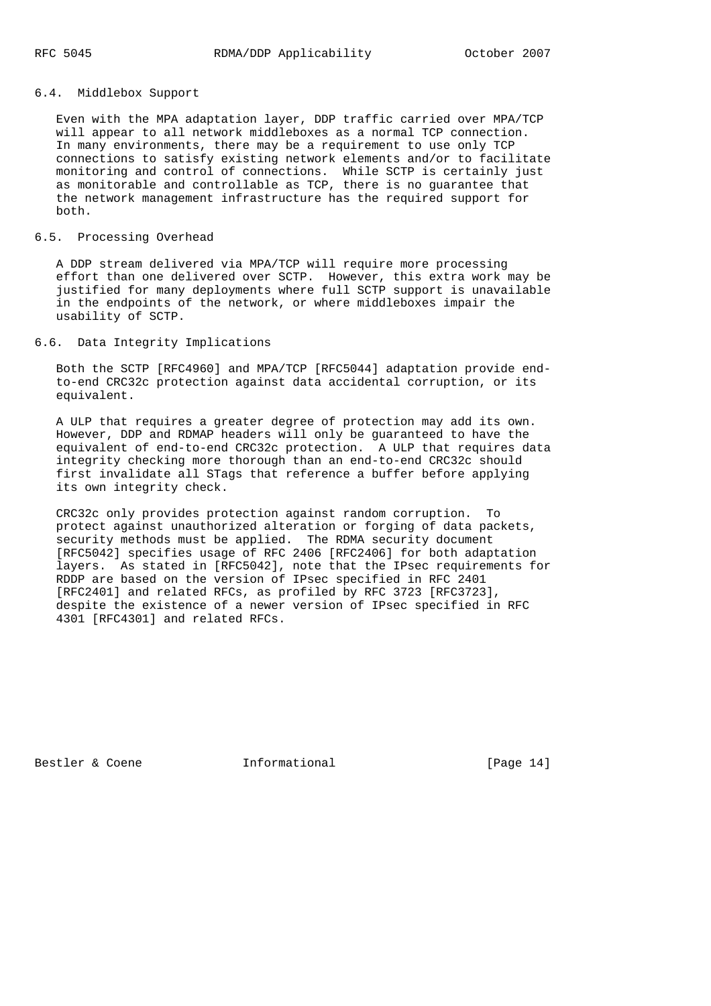# 6.4. Middlebox Support

 Even with the MPA adaptation layer, DDP traffic carried over MPA/TCP will appear to all network middleboxes as a normal TCP connection. In many environments, there may be a requirement to use only TCP connections to satisfy existing network elements and/or to facilitate monitoring and control of connections. While SCTP is certainly just as monitorable and controllable as TCP, there is no guarantee that the network management infrastructure has the required support for both.

## 6.5. Processing Overhead

 A DDP stream delivered via MPA/TCP will require more processing effort than one delivered over SCTP. However, this extra work may be justified for many deployments where full SCTP support is unavailable in the endpoints of the network, or where middleboxes impair the usability of SCTP.

# 6.6. Data Integrity Implications

 Both the SCTP [RFC4960] and MPA/TCP [RFC5044] adaptation provide end to-end CRC32c protection against data accidental corruption, or its equivalent.

 A ULP that requires a greater degree of protection may add its own. However, DDP and RDMAP headers will only be guaranteed to have the equivalent of end-to-end CRC32c protection. A ULP that requires data integrity checking more thorough than an end-to-end CRC32c should first invalidate all STags that reference a buffer before applying its own integrity check.

 CRC32c only provides protection against random corruption. To protect against unauthorized alteration or forging of data packets, security methods must be applied. The RDMA security document [RFC5042] specifies usage of RFC 2406 [RFC2406] for both adaptation layers. As stated in [RFC5042], note that the IPsec requirements for RDDP are based on the version of IPsec specified in RFC 2401 [RFC2401] and related RFCs, as profiled by RFC 3723 [RFC3723], despite the existence of a newer version of IPsec specified in RFC 4301 [RFC4301] and related RFCs.

Bestler & Coene **Informational** [Page 14]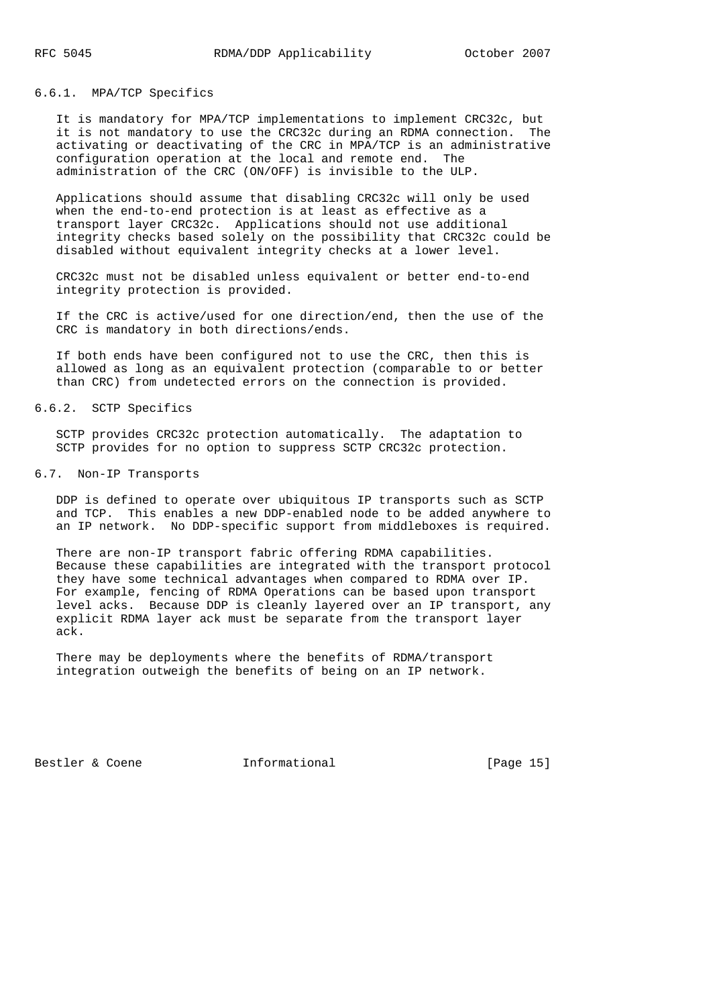# 6.6.1. MPA/TCP Specifics

 It is mandatory for MPA/TCP implementations to implement CRC32c, but it is not mandatory to use the CRC32c during an RDMA connection. The activating or deactivating of the CRC in MPA/TCP is an administrative configuration operation at the local and remote end. The administration of the CRC (ON/OFF) is invisible to the ULP.

 Applications should assume that disabling CRC32c will only be used when the end-to-end protection is at least as effective as a transport layer CRC32c. Applications should not use additional integrity checks based solely on the possibility that CRC32c could be disabled without equivalent integrity checks at a lower level.

 CRC32c must not be disabled unless equivalent or better end-to-end integrity protection is provided.

 If the CRC is active/used for one direction/end, then the use of the CRC is mandatory in both directions/ends.

 If both ends have been configured not to use the CRC, then this is allowed as long as an equivalent protection (comparable to or better than CRC) from undetected errors on the connection is provided.

### 6.6.2. SCTP Specifics

 SCTP provides CRC32c protection automatically. The adaptation to SCTP provides for no option to suppress SCTP CRC32c protection.

### 6.7. Non-IP Transports

 DDP is defined to operate over ubiquitous IP transports such as SCTP and TCP. This enables a new DDP-enabled node to be added anywhere to an IP network. No DDP-specific support from middleboxes is required.

 There are non-IP transport fabric offering RDMA capabilities. Because these capabilities are integrated with the transport protocol they have some technical advantages when compared to RDMA over IP. For example, fencing of RDMA Operations can be based upon transport level acks. Because DDP is cleanly layered over an IP transport, any explicit RDMA layer ack must be separate from the transport layer ack.

 There may be deployments where the benefits of RDMA/transport integration outweigh the benefits of being on an IP network.

Bestler & Coene **Informational** [Page 15]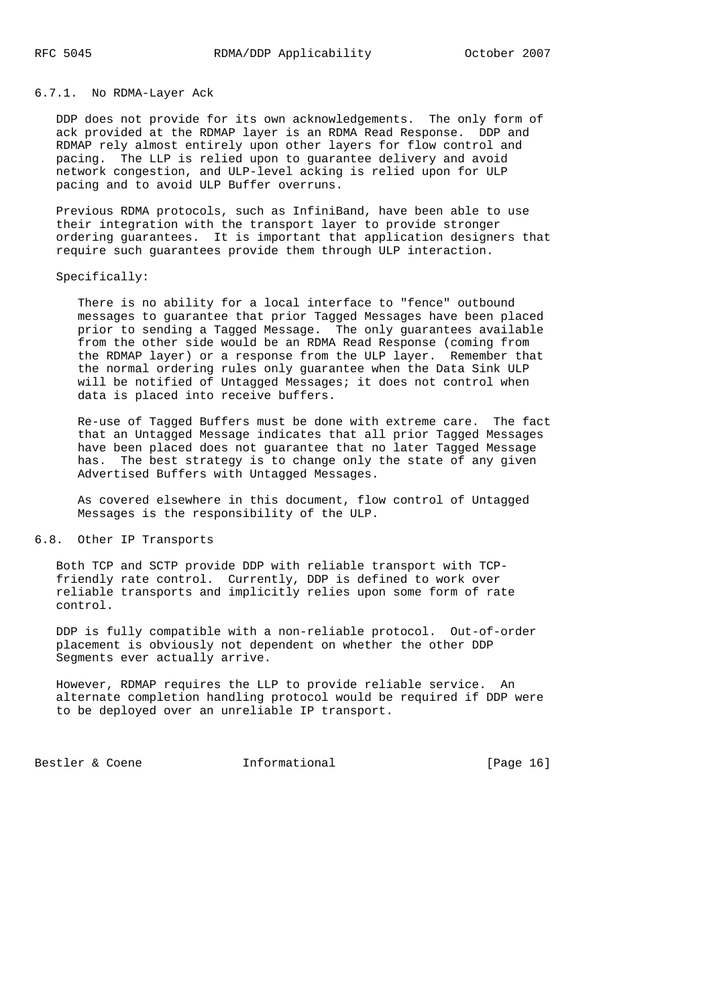## 6.7.1. No RDMA-Layer Ack

 DDP does not provide for its own acknowledgements. The only form of ack provided at the RDMAP layer is an RDMA Read Response. DDP and RDMAP rely almost entirely upon other layers for flow control and pacing. The LLP is relied upon to guarantee delivery and avoid network congestion, and ULP-level acking is relied upon for ULP pacing and to avoid ULP Buffer overruns.

 Previous RDMA protocols, such as InfiniBand, have been able to use their integration with the transport layer to provide stronger ordering guarantees. It is important that application designers that require such guarantees provide them through ULP interaction.

## Specifically:

 There is no ability for a local interface to "fence" outbound messages to guarantee that prior Tagged Messages have been placed prior to sending a Tagged Message. The only guarantees available from the other side would be an RDMA Read Response (coming from the RDMAP layer) or a response from the ULP layer. Remember that the normal ordering rules only guarantee when the Data Sink ULP will be notified of Untagged Messages; it does not control when data is placed into receive buffers.

 Re-use of Tagged Buffers must be done with extreme care. The fact that an Untagged Message indicates that all prior Tagged Messages have been placed does not guarantee that no later Tagged Message has. The best strategy is to change only the state of any given Advertised Buffers with Untagged Messages.

 As covered elsewhere in this document, flow control of Untagged Messages is the responsibility of the ULP.

### 6.8. Other IP Transports

 Both TCP and SCTP provide DDP with reliable transport with TCP friendly rate control. Currently, DDP is defined to work over reliable transports and implicitly relies upon some form of rate control.

 DDP is fully compatible with a non-reliable protocol. Out-of-order placement is obviously not dependent on whether the other DDP Segments ever actually arrive.

 However, RDMAP requires the LLP to provide reliable service. An alternate completion handling protocol would be required if DDP were to be deployed over an unreliable IP transport.

Bestler & Coene **Informational** [Page 16]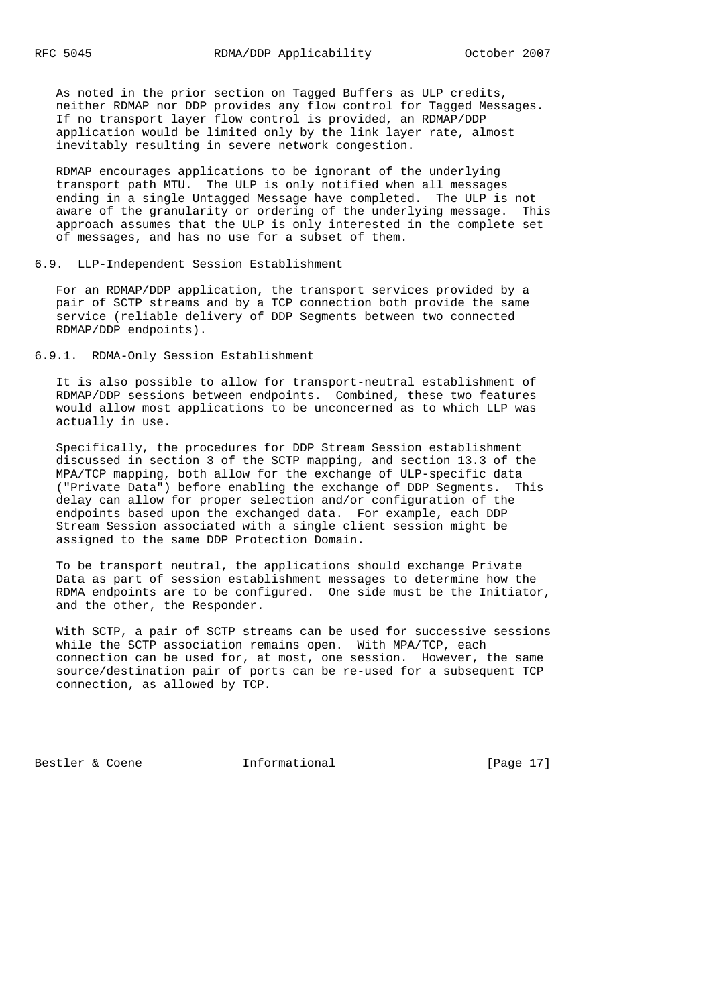As noted in the prior section on Tagged Buffers as ULP credits, neither RDMAP nor DDP provides any flow control for Tagged Messages. If no transport layer flow control is provided, an RDMAP/DDP application would be limited only by the link layer rate, almost inevitably resulting in severe network congestion.

 RDMAP encourages applications to be ignorant of the underlying transport path MTU. The ULP is only notified when all messages ending in a single Untagged Message have completed. The ULP is not aware of the granularity or ordering of the underlying message. This approach assumes that the ULP is only interested in the complete set of messages, and has no use for a subset of them.

#### 6.9. LLP-Independent Session Establishment

 For an RDMAP/DDP application, the transport services provided by a pair of SCTP streams and by a TCP connection both provide the same service (reliable delivery of DDP Segments between two connected RDMAP/DDP endpoints).

6.9.1. RDMA-Only Session Establishment

 It is also possible to allow for transport-neutral establishment of RDMAP/DDP sessions between endpoints. Combined, these two features would allow most applications to be unconcerned as to which LLP was actually in use.

 Specifically, the procedures for DDP Stream Session establishment discussed in section 3 of the SCTP mapping, and section 13.3 of the MPA/TCP mapping, both allow for the exchange of ULP-specific data ("Private Data") before enabling the exchange of DDP Segments. This delay can allow for proper selection and/or configuration of the endpoints based upon the exchanged data. For example, each DDP Stream Session associated with a single client session might be assigned to the same DDP Protection Domain.

 To be transport neutral, the applications should exchange Private Data as part of session establishment messages to determine how the RDMA endpoints are to be configured. One side must be the Initiator, and the other, the Responder.

 With SCTP, a pair of SCTP streams can be used for successive sessions while the SCTP association remains open. With MPA/TCP, each connection can be used for, at most, one session. However, the same source/destination pair of ports can be re-used for a subsequent TCP connection, as allowed by TCP.

Bestler & Coene **Informational** [Page 17]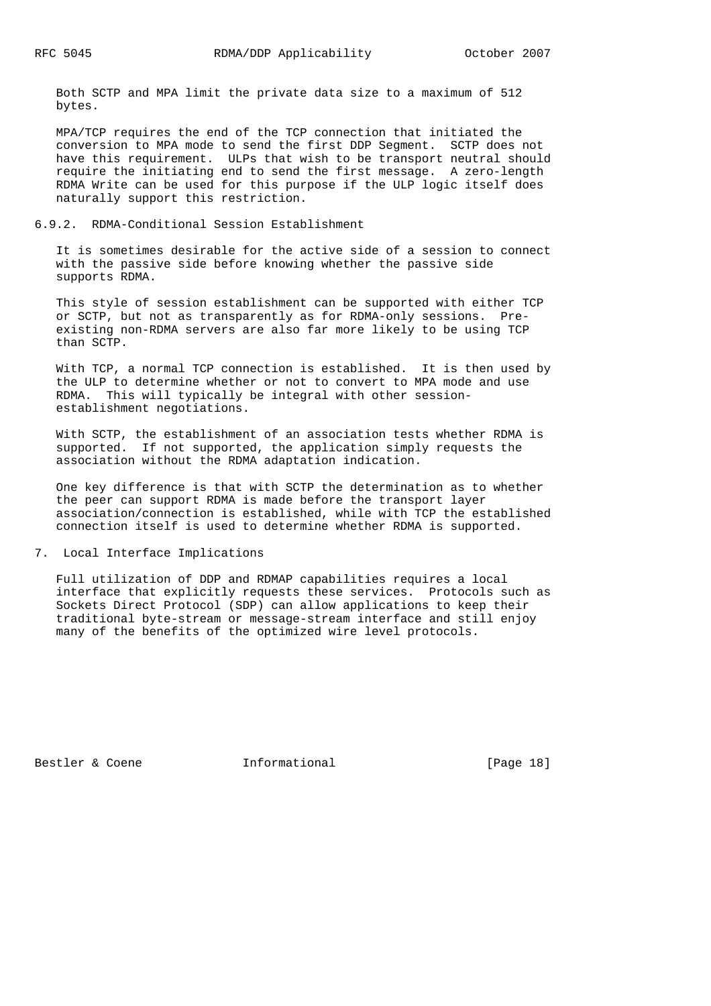Both SCTP and MPA limit the private data size to a maximum of 512 bytes.

 MPA/TCP requires the end of the TCP connection that initiated the conversion to MPA mode to send the first DDP Segment. SCTP does not have this requirement. ULPs that wish to be transport neutral should require the initiating end to send the first message. A zero-length RDMA Write can be used for this purpose if the ULP logic itself does naturally support this restriction.

## 6.9.2. RDMA-Conditional Session Establishment

 It is sometimes desirable for the active side of a session to connect with the passive side before knowing whether the passive side supports RDMA.

 This style of session establishment can be supported with either TCP or SCTP, but not as transparently as for RDMA-only sessions. Pre existing non-RDMA servers are also far more likely to be using TCP than SCTP.

 With TCP, a normal TCP connection is established. It is then used by the ULP to determine whether or not to convert to MPA mode and use RDMA. This will typically be integral with other session establishment negotiations.

 With SCTP, the establishment of an association tests whether RDMA is supported. If not supported, the application simply requests the association without the RDMA adaptation indication.

 One key difference is that with SCTP the determination as to whether the peer can support RDMA is made before the transport layer association/connection is established, while with TCP the established connection itself is used to determine whether RDMA is supported.

7. Local Interface Implications

 Full utilization of DDP and RDMAP capabilities requires a local interface that explicitly requests these services. Protocols such as Sockets Direct Protocol (SDP) can allow applications to keep their traditional byte-stream or message-stream interface and still enjoy many of the benefits of the optimized wire level protocols.

Bestler & Coene **Informational** [Page 18]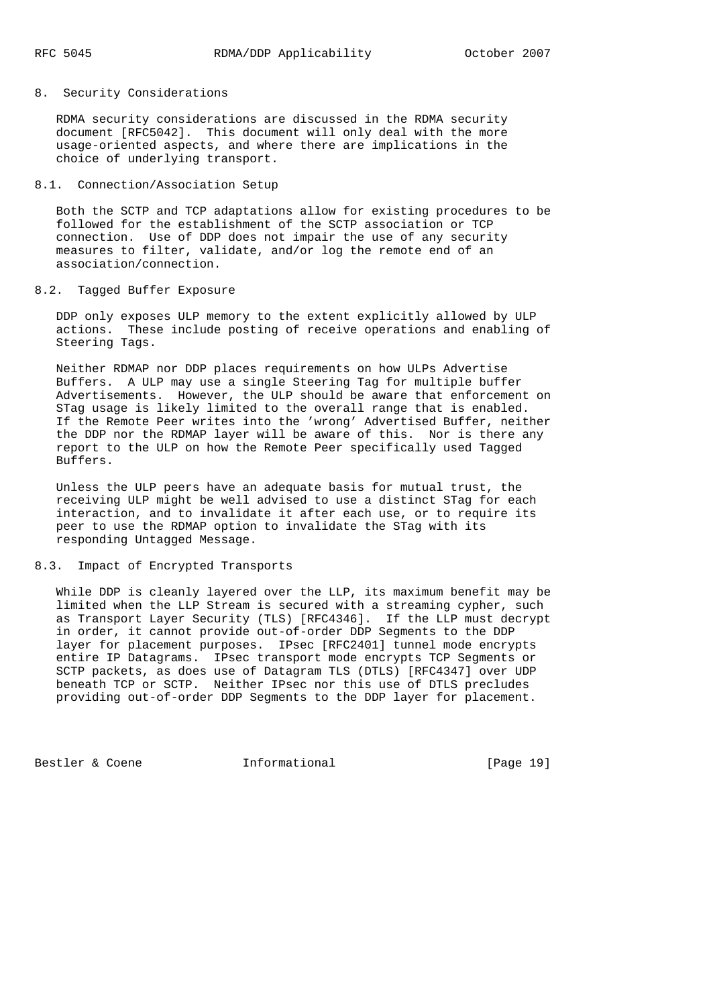## 8. Security Considerations

 RDMA security considerations are discussed in the RDMA security document [RFC5042]. This document will only deal with the more usage-oriented aspects, and where there are implications in the choice of underlying transport.

## 8.1. Connection/Association Setup

 Both the SCTP and TCP adaptations allow for existing procedures to be followed for the establishment of the SCTP association or TCP connection. Use of DDP does not impair the use of any security measures to filter, validate, and/or log the remote end of an association/connection.

## 8.2. Tagged Buffer Exposure

 DDP only exposes ULP memory to the extent explicitly allowed by ULP actions. These include posting of receive operations and enabling of Steering Tags.

 Neither RDMAP nor DDP places requirements on how ULPs Advertise Buffers. A ULP may use a single Steering Tag for multiple buffer Advertisements. However, the ULP should be aware that enforcement on STag usage is likely limited to the overall range that is enabled. If the Remote Peer writes into the 'wrong' Advertised Buffer, neither the DDP nor the RDMAP layer will be aware of this. Nor is there any report to the ULP on how the Remote Peer specifically used Tagged Buffers.

 Unless the ULP peers have an adequate basis for mutual trust, the receiving ULP might be well advised to use a distinct STag for each interaction, and to invalidate it after each use, or to require its peer to use the RDMAP option to invalidate the STag with its responding Untagged Message.

#### 8.3. Impact of Encrypted Transports

 While DDP is cleanly layered over the LLP, its maximum benefit may be limited when the LLP Stream is secured with a streaming cypher, such as Transport Layer Security (TLS) [RFC4346]. If the LLP must decrypt in order, it cannot provide out-of-order DDP Segments to the DDP layer for placement purposes. IPsec [RFC2401] tunnel mode encrypts entire IP Datagrams. IPsec transport mode encrypts TCP Segments or SCTP packets, as does use of Datagram TLS (DTLS) [RFC4347] over UDP beneath TCP or SCTP. Neither IPsec nor this use of DTLS precludes providing out-of-order DDP Segments to the DDP layer for placement.

Bestler & Coene **Informational** [Page 19]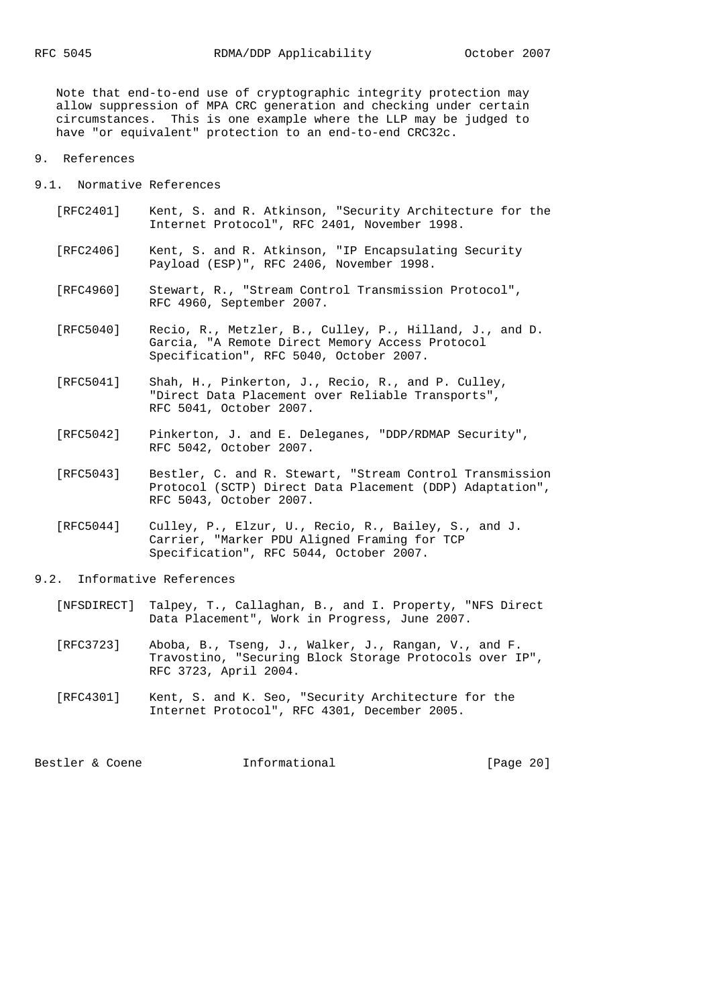Note that end-to-end use of cryptographic integrity protection may allow suppression of MPA CRC generation and checking under certain circumstances. This is one example where the LLP may be judged to have "or equivalent" protection to an end-to-end CRC32c.

#### 9. References

9.1. Normative References

- [RFC2401] Kent, S. and R. Atkinson, "Security Architecture for the Internet Protocol", RFC 2401, November 1998.
- [RFC2406] Kent, S. and R. Atkinson, "IP Encapsulating Security Payload (ESP)", RFC 2406, November 1998.
- [RFC4960] Stewart, R., "Stream Control Transmission Protocol", RFC 4960, September 2007.
- [RFC5040] Recio, R., Metzler, B., Culley, P., Hilland, J., and D. Garcia, "A Remote Direct Memory Access Protocol Specification", RFC 5040, October 2007.
- [RFC5041] Shah, H., Pinkerton, J., Recio, R., and P. Culley, "Direct Data Placement over Reliable Transports", RFC 5041, October 2007.
- [RFC5042] Pinkerton, J. and E. Deleganes, "DDP/RDMAP Security", RFC 5042, October 2007.
- [RFC5043] Bestler, C. and R. Stewart, "Stream Control Transmission Protocol (SCTP) Direct Data Placement (DDP) Adaptation", RFC 5043, October 2007.
- [RFC5044] Culley, P., Elzur, U., Recio, R., Bailey, S., and J. Carrier, "Marker PDU Aligned Framing for TCP Specification", RFC 5044, October 2007.

#### 9.2. Informative References

- [NFSDIRECT] Talpey, T., Callaghan, B., and I. Property, "NFS Direct Data Placement", Work in Progress, June 2007.
- [RFC3723] Aboba, B., Tseng, J., Walker, J., Rangan, V., and F. Travostino, "Securing Block Storage Protocols over IP", RFC 3723, April 2004.
- [RFC4301] Kent, S. and K. Seo, "Security Architecture for the Internet Protocol", RFC 4301, December 2005.

Bestler & Coene **Informational** [Page 20]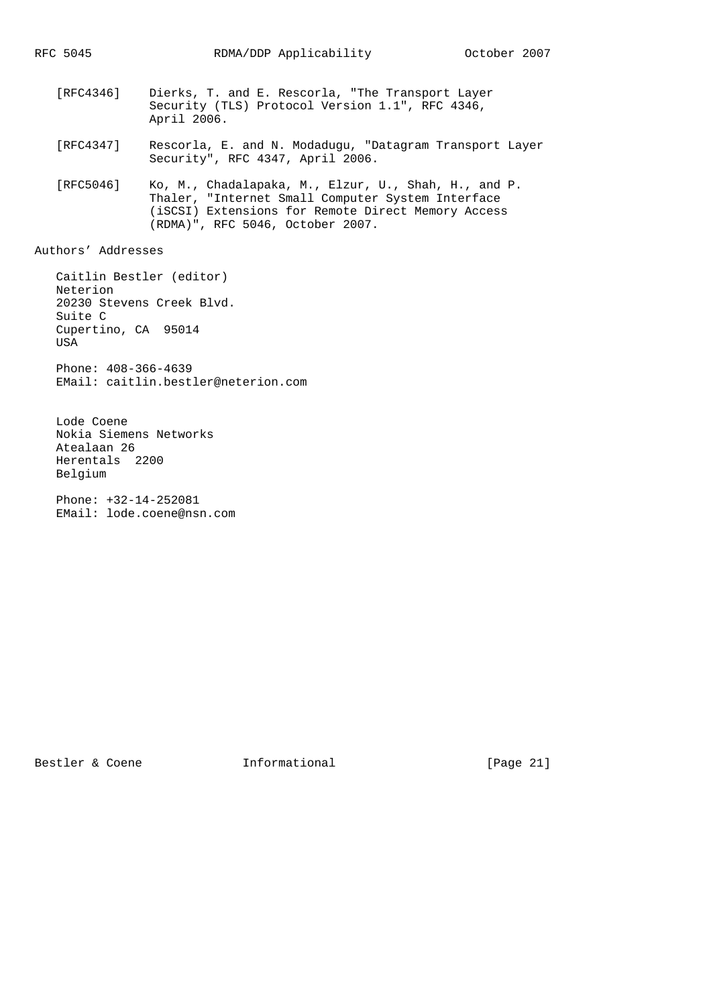- [RFC4346] Dierks, T. and E. Rescorla, "The Transport Layer Security (TLS) Protocol Version 1.1", RFC 4346, April 2006.
- [RFC4347] Rescorla, E. and N. Modadugu, "Datagram Transport Layer Security", RFC 4347, April 2006.
- [RFC5046] Ko, M., Chadalapaka, M., Elzur, U., Shah, H., and P. Thaler, "Internet Small Computer System Interface (iSCSI) Extensions for Remote Direct Memory Access (RDMA)", RFC 5046, October 2007.

Authors' Addresses

 Caitlin Bestler (editor) Neterion 20230 Stevens Creek Blvd. Suite C Cupertino, CA 95014 USA Phone: 408-366-4639 EMail: caitlin.bestler@neterion.com

 Lode Coene Nokia Siemens Networks Atealaan 26 Herentals 2200 Belgium

 Phone: +32-14-252081 EMail: lode.coene@nsn.com

Bestler & Coene **Informational** [Page 21]